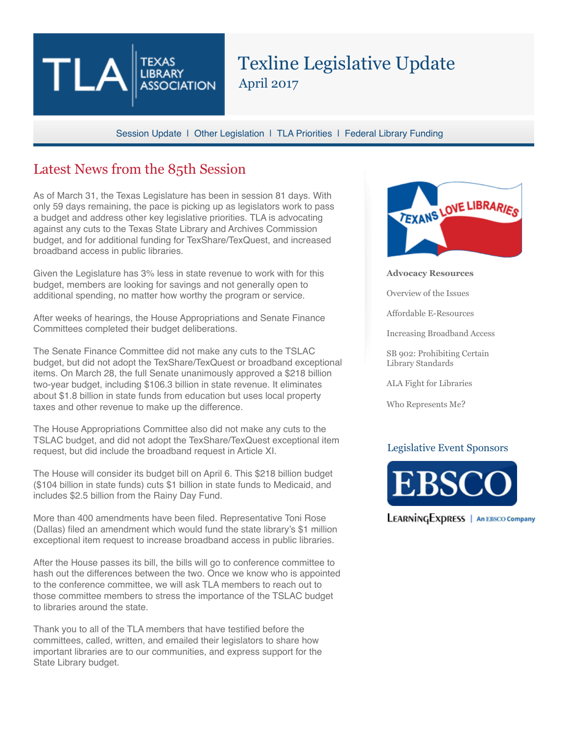# Texline Legislative Update April 2017

Session Update | Other Legislation | TLA Priorities | Federal Library Funding

## Latest News from the 85th Session

**LIBRARY** 

**ASSOCIATION** 

As of March 31, the Texas Legislature has been in session 81 days. With only 59 days remaining, the pace is picking up as legislators work to pass a budget and address other key legislative priorities. TLA is advocating against any cuts to the Texas State Library and Archives Commission budget, and for additional funding for TexShare/TexQuest, and increased broadband access in public libraries.

Given the Legislature has 3% less in state revenue to work with for this budget, members are looking for savings and not generally open to additional spending, no matter how worthy the program or service.

After weeks of hearings, the House Appropriations and Senate Finance Committees completed their budget deliberations.

The Senate Finance Committee did not make any cuts to the TSLAC budget, but did not adopt the TexShare/TexQuest or broadband exceptional items. On March 28, the full Senate unanimously approved a \$218 billion two-year budget, including \$106.3 billion in state revenue. It eliminates about \$1.8 billion in state funds from education but uses local property taxes and other revenue to make up the difference.

The House Appropriations Committee also did not make any cuts to the TSLAC budget, and did not adopt the TexShare/TexQuest exceptional item request, but did include the broadband request in Article XI.

The House will consider its budget bill on April 6. This \$218 billion budget (\$104 billion in state funds) cuts \$1 billion in state funds to Medicaid, and includes \$2.5 billion from the Rainy Day Fund.

More than 400 amendments have been filed. Representative Toni Rose (Dallas) filed an amendment which would fund the state library's \$1 million exceptional item request to increase broadband access in public libraries.

After the House passes its bill, the bills will go to conference committee to hash out the differences between the two. Once we know who is appointed to the conference committee, we will ask TLA members to reach out to those committee members to stress the importance of the TSLAC budget to libraries around the state.

Thank you to all of the TLA members that have testified before the committees, called, written, and emailed their legislators to share how important libraries are to our communities, and express support for the State Library budget.



**Advocacy Resources**

Overview of the Issues

Affordable E-Resources

Increasing Broadband Access

SB 902: Prohibiting Certain Library Standards

ALA Fight for Libraries

Who Represents Me?

#### Legislative Event Sponsors



**LEARNINGEXDRESS** | An EBSCO Company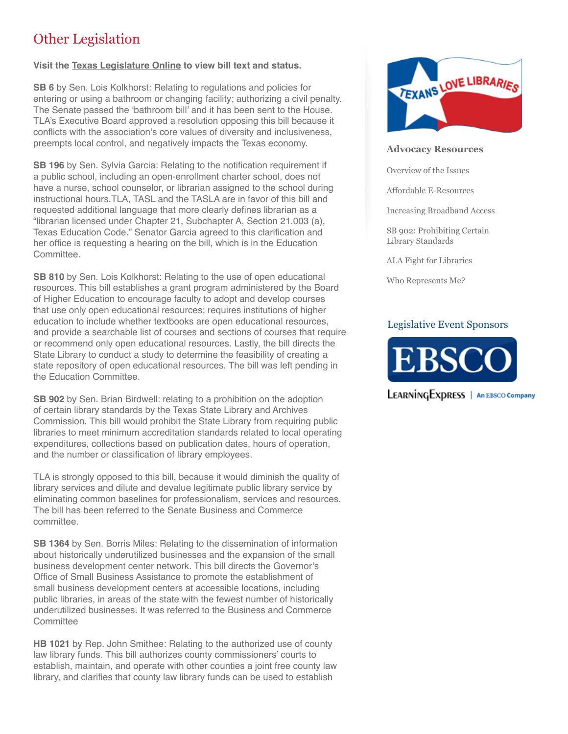## Other Legislation

#### **Visit the Texas Legislature Online to view bill text and status.**

**SB 6** by Sen. Lois Kolkhorst: Relating to regulations and policies for entering or using a bathroom or changing facility; authorizing a civil penalty. The Senate passed the 'bathroom bill' and it has been sent to the House. TLA's Executive Board approved a resolution opposing this bill because it conflicts with the association's core values of diversity and inclusiveness, preempts local control, and negatively impacts the Texas economy.

**SB 196** by Sen. Sylvia Garcia: Relating to the notification requirement if a public school, including an open-enrollment charter school, does not have a nurse, school counselor, or librarian assigned to the school during instructional hours.TLA, TASL and the TASLA are in favor of this bill and requested additional language that more clearly defines librarian as a "librarian licensed under Chapter 21, Subchapter A, Section 21.003 (a), Texas Education Code." Senator Garcia agreed to this clarification and her office is requesting a hearing on the bill, which is in the Education Committee.

**SB 810** by Sen. Lois Kolkhorst: Relating to the use of open educational resources. This bill establishes a grant program administered by the Board of Higher Education to encourage faculty to adopt and develop courses that use only open educational resources; requires institutions of higher education to include whether textbooks are open educational resources, and provide a searchable list of courses and sections of courses that require or recommend only open educational resources. Lastly, the bill directs the State Library to conduct a study to determine the feasibility of creating a state repository of open educational resources. The bill was left pending in the Education Committee.

**SB 902** by Sen. Brian Birdwell: relating to a prohibition on the adoption of certain library standards by the Texas State Library and Archives Commission. This bill would prohibit the State Library from requiring public libraries to meet minimum accreditation standards related to local operating expenditures, collections based on publication dates, hours of operation, and the number or classification of library employees.

TLA is strongly opposed to this bill, because it would diminish the quality of library services and dilute and devalue legitimate public library service by eliminating common baselines for professionalism, services and resources. The bill has been referred to the Senate Business and Commerce committee.

**SB 1364** by Sen. Borris Miles: Relating to the dissemination of information about historically underutilized businesses and the expansion of the small business development center network. This bill directs the Governor's Office of Small Business Assistance to promote the establishment of small business development centers at accessible locations, including public libraries, in areas of the state with the fewest number of historically underutilized businesses. It was referred to the Business and Commerce **Committee** 

**HB 1021** by Rep. John Smithee: Relating to the authorized use of county law library funds. This bill authorizes county commissioners' courts to establish, maintain, and operate with other counties a joint free county law library, and clarifies that county law library funds can be used to establish



#### **Advocacy Resources**

Overview of the Issues

Affordable E-Resources

Increasing Broadband Access

SB 902: Prohibiting Certain Library Standards

ALA Fight for Libraries

Who Represents Me?

### Legislative Event Sponsors



**LEARNINGEXPRESS** | An EBSCO Company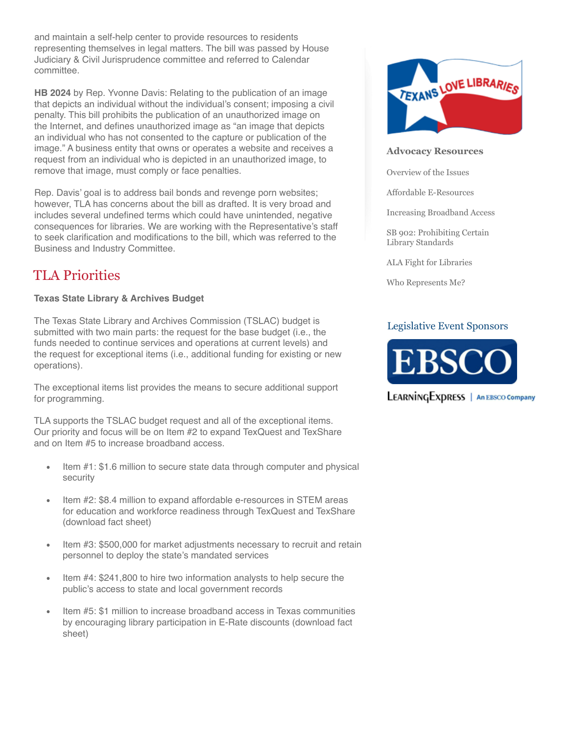and maintain a self-help center to provide resources to residents representing themselves in legal matters. The bill was passed by House Judiciary & Civil Jurisprudence committee and referred to Calendar committee.

**HB 2024** by Rep. Yvonne Davis: Relating to the publication of an image that depicts an individual without the individual's consent; imposing a civil penalty. This bill prohibits the publication of an unauthorized image on the Internet, and defines unauthorized image as "an image that depicts an individual who has not consented to the capture or publication of the image." A business entity that owns or operates a website and receives a request from an individual who is depicted in an unauthorized image, to remove that image, must comply or face penalties.

Rep. Davis' goal is to address bail bonds and revenge porn websites; however, TLA has concerns about the bill as drafted. It is very broad and includes several undefined terms which could have unintended, negative consequences for libraries. We are working with the Representative's staff to seek clarification and modifications to the bill, which was referred to the Business and Industry Committee.

## TLA Priorities

### **Texas State Library & Archives Budget**

The Texas State Library and Archives Commission (TSLAC) budget is submitted with two main parts: the request for the base budget (i.e., the funds needed to continue services and operations at current levels) and the request for exceptional items (i.e., additional funding for existing or new operations).

The exceptional items list provides the means to secure additional support for programming.

TLA supports the TSLAC budget request and all of the exceptional items. Our priority and focus will be on Item #2 to expand TexQuest and TexShare and on Item #5 to increase broadband access.

- Item #1: \$1.6 million to secure state data through computer and physical security
- Item #2: \$8.4 million to expand affordable e-resources in STEM areas for education and workforce readiness through TexQuest and TexShare (download fact sheet)
- Item #3: \$500,000 for market adjustments necessary to recruit and retain personnel to deploy the state's mandated services
- Item #4: \$241,800 to hire two information analysts to help secure the public's access to state and local government records
- Item #5: \$1 million to increase broadband access in Texas communities by encouraging library participation in E-Rate discounts (download fact sheet)



#### **Advocacy Resources**

Overview of the Issues

Affordable E-Resources

Increasing Broadband Access

SB 902: Prohibiting Certain Library Standards

ALA Fight for Libraries

Who Represents Me?

## Legislative Event Sponsors



LEARNINGEXPRESS | An EBSCO Company